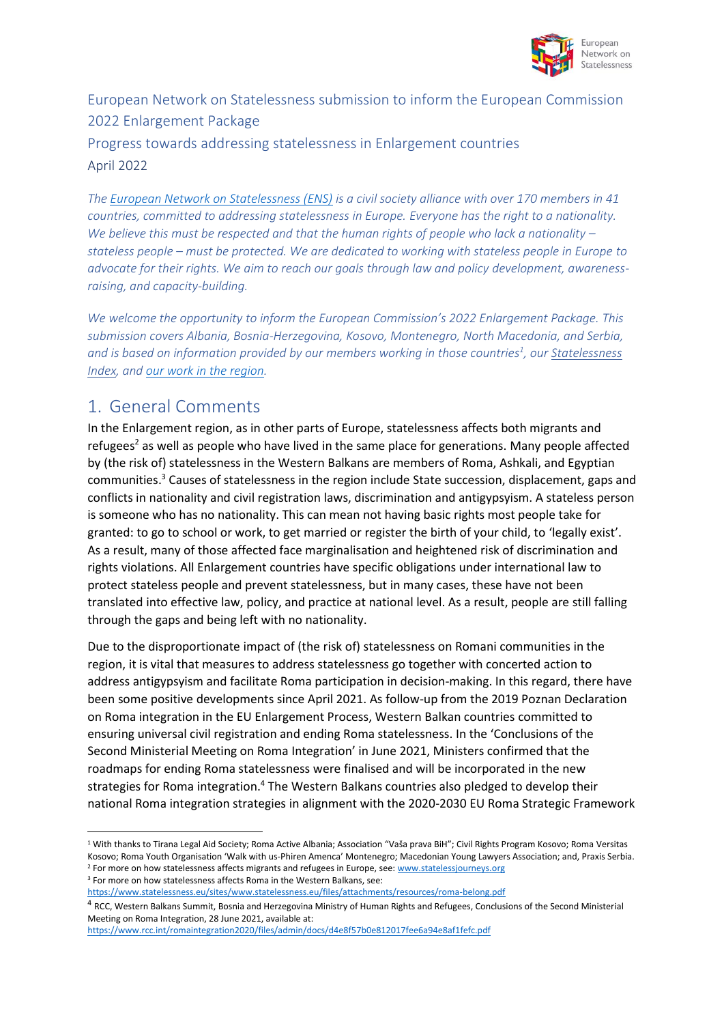

#### European Network on Statelessness submission to inform the European Commission 2022 Enlargement Package

#### Progress towards addressing statelessness in Enlargement countries April 2022

*Th[e European Network on Statelessness \(ENS\)](http://www.statelessness.eu/) is a civil society alliance with over 170 members in 41 countries, committed to addressing statelessness in Europe. Everyone has the right to a nationality. We believe this must be respected and that the human rights of people who lack a nationality – stateless people – must be protected. We are dedicated to working with stateless people in Europe to advocate for their rights. We aim to reach our goals through law and policy development, awarenessraising, and capacity-building.* 

*We welcome the opportunity to inform the European Commission's 2022 Enlargement Package. This submission covers Albania, Bosnia-Herzegovina, Kosovo, Montenegro, North Macedonia, and Serbia, and is based on information provided by our members working in those countries<sup>1</sup> , ou[r Statelessness](https://www.index.statelessness.eu/)  [Index,](https://www.index.statelessness.eu/) and [our work in the region.](https://www.statelessness.eu/issues/stateless-minorities)*

# 1. General Comments

In the Enlargement region, as in other parts of Europe, statelessness affects both migrants and refugees<sup>2</sup> as well as people who have lived in the same place for generations. Many people affected by (the risk of) statelessness in the Western Balkans are members of Roma, Ashkali, and Egyptian communities.<sup>3</sup> Causes of statelessness in the region include State succession, displacement, gaps and conflicts in nationality and civil registration laws, discrimination and antigypsyism. A stateless person is someone who has no nationality. This can mean not having basic rights most people take for granted: to go to school or work, to get married or register the birth of your child, to 'legally exist'. As a result, many of those affected face marginalisation and heightened risk of discrimination and rights violations. All Enlargement countries have specific obligations under international law to protect stateless people and prevent statelessness, but in many cases, these have not been translated into effective law, policy, and practice at national level. As a result, people are still falling through the gaps and being left with no nationality.

Due to the disproportionate impact of (the risk of) statelessness on Romani communities in the region, it is vital that measures to address statelessness go together with concerted action to address antigypsyism and facilitate Roma participation in decision-making. In this regard, there have been some positive developments since April 2021. As follow-up from the 2019 Poznan Declaration on Roma integration in the EU Enlargement Process, Western Balkan countries committed to ensuring universal civil registration and ending Roma statelessness. In the 'Conclusions of the Second Ministerial Meeting on Roma Integration' in June 2021, Ministers confirmed that the roadmaps for ending Roma statelessness were finalised and will be incorporated in the new strategies for Roma integration.<sup>4</sup> The Western Balkans countries also pledged to develop their national Roma integration strategies in alignment with the 2020-2030 EU Roma Strategic Framework

<https://www.statelessness.eu/sites/www.statelessness.eu/files/attachments/resources/roma-belong.pdf>

<sup>1</sup> With thanks to Tirana Legal Aid Society; Roma Active Albania; Association "Vaša prava BiH"; Civil Rights Program Kosovo; Roma Versitas Kosovo; Roma Youth Organisation 'Walk with us-Phiren Amenca' Montenegro; Macedonian Young Lawyers Association; and, Praxis Serbia. <sup>2</sup> For more on how statelessness affects migrants and refugees in Europe, see[: www.statelessjourneys.org](http://www.statelessjourneys.org/) <sup>3</sup> For more on how statelessness affects Roma in the Western Balkans, see:

<sup>&</sup>lt;sup>4</sup> RCC, Western Balkans Summit, Bosnia and Herzegovina Ministry of Human Rights and Refugees, Conclusions of the Second Ministerial Meeting on Roma Integration, 28 June 2021, available at:

<https://www.rcc.int/romaintegration2020/files/admin/docs/d4e8f57b0e812017fee6a94e8af1fefc.pdf>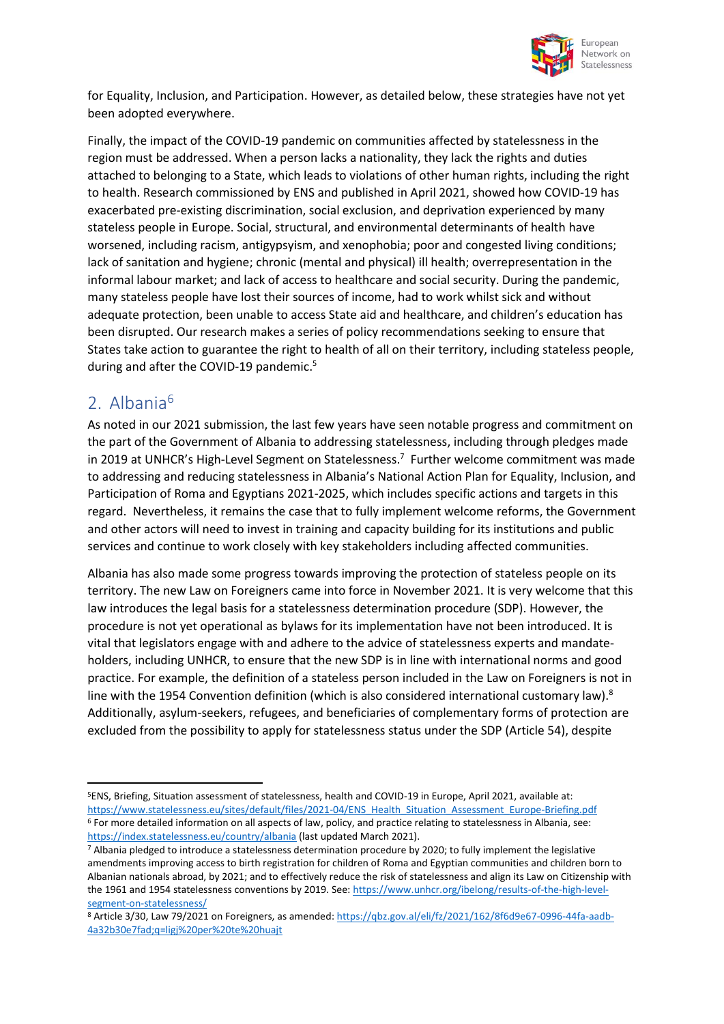

for Equality, Inclusion, and Participation. However, as detailed below, these strategies have not yet been adopted everywhere.

Finally, the impact of the COVID-19 pandemic on communities affected by statelessness in the region must be addressed. When a person lacks a nationality, they lack the rights and duties attached to belonging to a State, which leads to violations of other human rights, including the right to health. Research commissioned by ENS and published in April 2021, showed how COVID-19 has exacerbated pre-existing discrimination, social exclusion, and deprivation experienced by many stateless people in Europe. Social, structural, and environmental determinants of health have worsened, including racism, antigypsyism, and xenophobia; poor and congested living conditions; lack of sanitation and hygiene; chronic (mental and physical) ill health; overrepresentation in the informal labour market; and lack of access to healthcare and social security. During the pandemic, many stateless people have lost their sources of income, had to work whilst sick and without adequate protection, been unable to access State aid and healthcare, and children's education has been disrupted. Our research makes a series of policy recommendations seeking to ensure that States take action to guarantee the right to health of all on their territory, including stateless people, during and after the COVID-19 pandemic.<sup>5</sup>

## 2. Albania<sup>6</sup>

As noted in our 2021 submission, the last few years have seen notable progress and commitment on the part of the Government of Albania to addressing statelessness, including through pledges made in 2019 at UNHCR's High-Level Segment on Statelessness.<sup>7</sup> Further welcome commitment was made to addressing and reducing statelessness in Albania's National Action Plan for Equality, Inclusion, and Participation of Roma and Egyptians 2021-2025, which includes specific actions and targets in this regard. Nevertheless, it remains the case that to fully implement welcome reforms, the Government and other actors will need to invest in training and capacity building for its institutions and public services and continue to work closely with key stakeholders including affected communities.

Albania has also made some progress towards improving the protection of stateless people on its territory. The new Law on Foreigners came into force in November 2021. It is very welcome that this law introduces the legal basis for a statelessness determination procedure (SDP). However, the procedure is not yet operational as bylaws for its implementation have not been introduced. It is vital that legislators engage with and adhere to the advice of statelessness experts and mandateholders, including UNHCR, to ensure that the new SDP is in line with international norms and good practice. For example, the definition of a stateless person included in the Law on Foreigners is not in line with the 1954 Convention definition (which is also considered international customary law).<sup>8</sup> Additionally, asylum-seekers, refugees, and beneficiaries of complementary forms of protection are excluded from the possibility to apply for statelessness status under the SDP (Article 54), despite

<sup>5</sup>ENS, Briefing, Situation assessment of statelessness, health and COVID-19 in Europe, April 2021, available at: [https://www.statelessness.eu/sites/default/files/2021-04/ENS\\_Health\\_Situation\\_Assessment\\_Europe-Briefing.pdf](https://www.statelessness.eu/sites/default/files/2021-04/ENS_Health_Situation_Assessment_Europe-Briefing.pdf) <sup>6</sup> For more detailed information on all aspects of law, policy, and practice relating to statelessness in Albania, see: <https://index.statelessness.eu/country/albania> (last updated March 2021).

<sup>7</sup> Albania pledged to introduce a statelessness determination procedure by 2020; to fully implement the legislative amendments improving access to birth registration for children of Roma and Egyptian communities and children born to Albanian nationals abroad, by 2021; and to effectively reduce the risk of statelessness and align its Law on Citizenship with the 1961 and 1954 statelessness conventions by 2019. See[: https://www.unhcr.org/ibelong/results-of-the-high-level](https://www.unhcr.org/ibelong/results-of-the-high-level-segment-on-statelessness/)[segment-on-statelessness/](https://www.unhcr.org/ibelong/results-of-the-high-level-segment-on-statelessness/)

<sup>8</sup> Article 3/30, Law 79/2021 on Foreigners, as amended[: https://qbz.gov.al/eli/fz/2021/162/8f6d9e67-0996-44fa-aadb-](https://qbz.gov.al/eli/fz/2021/162/8f6d9e67-0996-44fa-aadb-4a32b30e7fad;q=ligj%20per%20te%20huajt)[4a32b30e7fad;q=ligj%20per%20te%20huajt](https://qbz.gov.al/eli/fz/2021/162/8f6d9e67-0996-44fa-aadb-4a32b30e7fad;q=ligj%20per%20te%20huajt)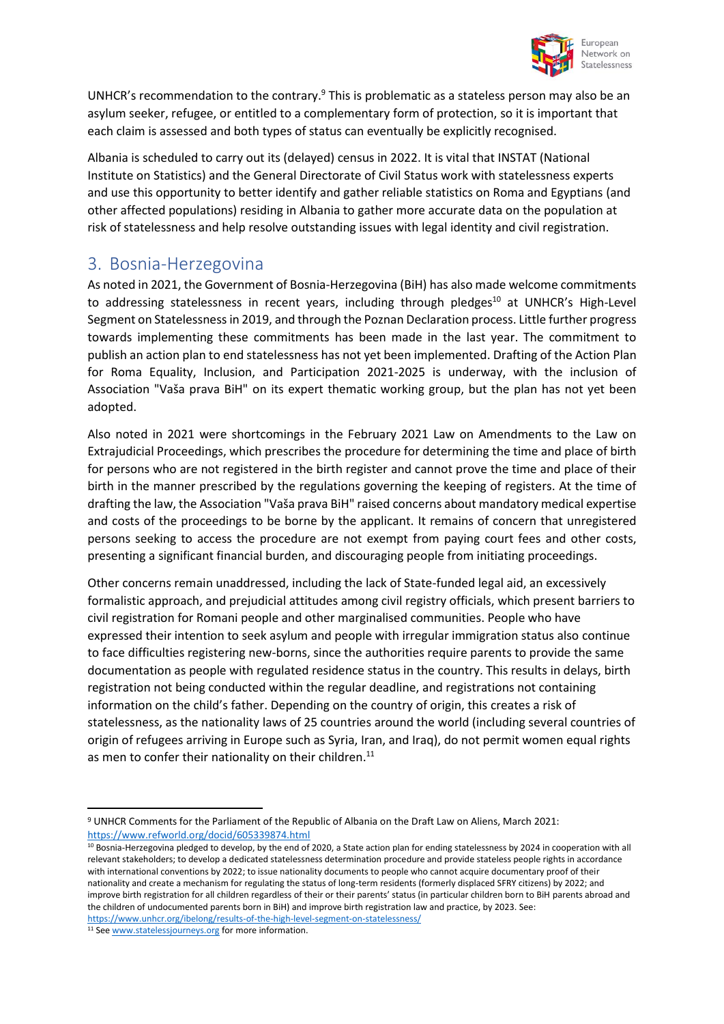

UNHCR's recommendation to the contrary.<sup>9</sup> This is problematic as a stateless person may also be an asylum seeker, refugee, or entitled to a complementary form of protection, so it is important that each claim is assessed and both types of status can eventually be explicitly recognised.

Albania is scheduled to carry out its (delayed) census in 2022. It is vital that INSTAT (National Institute on Statistics) and the General Directorate of Civil Status work with statelessness experts and use this opportunity to better identify and gather reliable statistics on Roma and Egyptians (and other affected populations) residing in Albania to gather more accurate data on the population at risk of statelessness and help resolve outstanding issues with legal identity and civil registration.

#### 3. Bosnia-Herzegovina

As noted in 2021, the Government of Bosnia-Herzegovina (BiH) has also made welcome commitments to addressing statelessness in recent years, including through pledges<sup>10</sup> at UNHCR's High-Level Segment on Statelessness in 2019, and through the Poznan Declaration process. Little further progress towards implementing these commitments has been made in the last year. The commitment to publish an action plan to end statelessness has not yet been implemented. Drafting of the Action Plan for Roma Equality, Inclusion, and Participation 2021-2025 is underway, with the inclusion of Association "Vaša prava BiH" on its expert thematic working group, but the plan has not yet been adopted.

Also noted in 2021 were shortcomings in the February 2021 Law on Amendments to the Law on Extrajudicial Proceedings, which prescribes the procedure for determining the time and place of birth for persons who are not registered in the birth register and cannot prove the time and place of their birth in the manner prescribed by the regulations governing the keeping of registers. At the time of drafting the law, the Association "Vaša prava BiH" raised concerns about mandatory medical expertise and costs of the proceedings to be borne by the applicant. It remains of concern that unregistered persons seeking to access the procedure are not exempt from paying court fees and other costs, presenting a significant financial burden, and discouraging people from initiating proceedings.

Other concerns remain unaddressed, including the lack of State-funded legal aid, an excessively formalistic approach, and prejudicial attitudes among civil registry officials, which present barriers to civil registration for Romani people and other marginalised communities. People who have expressed their intention to seek asylum and people with irregular immigration status also continue to face difficulties registering new-borns, since the authorities require parents to provide the same documentation as people with regulated residence status in the country. This results in delays, birth registration not being conducted within the regular deadline, and registrations not containing information on the child's father. Depending on the country of origin, this creates a risk of statelessness, as the nationality laws of 25 countries around the world (including several countries of origin of refugees arriving in Europe such as Syria, Iran, and Iraq), do not permit women equal rights as men to confer their nationality on their children.<sup>11</sup>

<sup>11</sup> Se[e www.statelessjourneys.org](http://www.statelessjourneys.org/) for more information.

<sup>9</sup> UNHCR Comments for the Parliament of the Republic of Albania on the Draft Law on Aliens, March 2021: <https://www.refworld.org/docid/605339874.html>

 $10$  Bosnia-Herzegovina pledged to develop, by the end of 2020, a State action plan for ending statelessness by 2024 in cooperation with all relevant stakeholders; to develop a dedicated statelessness determination procedure and provide stateless people rights in accordance with international conventions by 2022; to issue nationality documents to people who cannot acquire documentary proof of their nationality and create a mechanism for regulating the status of long-term residents (formerly displaced SFRY citizens) by 2022; and improve birth registration for all children regardless of their or their parents' status (in particular children born to BiH parents abroad and the children of undocumented parents born in BiH) and improve birth registration law and practice, by 2023. See: <https://www.unhcr.org/ibelong/results-of-the-high-level-segment-on-statelessness/>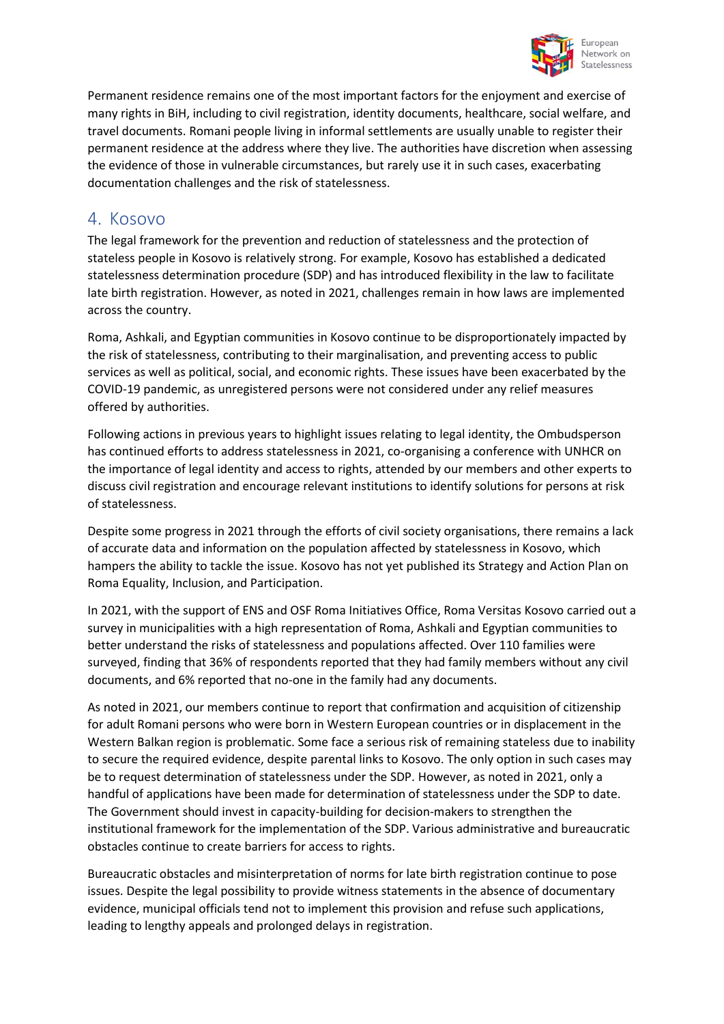

Permanent residence remains one of the most important factors for the enjoyment and exercise of many rights in BiH, including to civil registration, identity documents, healthcare, social welfare, and travel documents. Romani people living in informal settlements are usually unable to register their permanent residence at the address where they live. The authorities have discretion when assessing the evidence of those in vulnerable circumstances, but rarely use it in such cases, exacerbating documentation challenges and the risk of statelessness.

## 4. Kosovo

The legal framework for the prevention and reduction of statelessness and the protection of stateless people in Kosovo is relatively strong. For example, Kosovo has established a dedicated statelessness determination procedure (SDP) and has introduced flexibility in the law to facilitate late birth registration. However, as noted in 2021, challenges remain in how laws are implemented across the country.

Roma, Ashkali, and Egyptian communities in Kosovo continue to be disproportionately impacted by the risk of statelessness, contributing to their marginalisation, and preventing access to public services as well as political, social, and economic rights. These issues have been exacerbated by the COVID-19 pandemic, as unregistered persons were not considered under any relief measures offered by authorities.

Following actions in previous years to highlight issues relating to legal identity, the Ombudsperson has continued efforts to address statelessness in 2021, co-organising a conference with UNHCR on the importance of legal identity and access to rights, attended by our members and other experts to discuss civil registration and encourage relevant institutions to identify solutions for persons at risk of statelessness.

Despite some progress in 2021 through the efforts of civil society organisations, there remains a lack of accurate data and information on the population affected by statelessness in Kosovo, which hampers the ability to tackle the issue. Kosovo has not yet published its Strategy and Action Plan on Roma Equality, Inclusion, and Participation.

In 2021, with the support of ENS and OSF Roma Initiatives Office, Roma Versitas Kosovo carried out a survey in municipalities with a high representation of Roma, Ashkali and Egyptian communities to better understand the risks of statelessness and populations affected. Over 110 families were surveyed, finding that 36% of respondents reported that they had family members without any civil documents, and 6% reported that no-one in the family had any documents.

As noted in 2021, our members continue to report that confirmation and acquisition of citizenship for adult Romani persons who were born in Western European countries or in displacement in the Western Balkan region is problematic. Some face a serious risk of remaining stateless due to inability to secure the required evidence, despite parental links to Kosovo. The only option in such cases may be to request determination of statelessness under the SDP. However, as noted in 2021, only a handful of applications have been made for determination of statelessness under the SDP to date. The Government should invest in capacity-building for decision-makers to strengthen the institutional framework for the implementation of the SDP. Various administrative and bureaucratic obstacles continue to create barriers for access to rights.

Bureaucratic obstacles and misinterpretation of norms for late birth registration continue to pose issues. Despite the legal possibility to provide witness statements in the absence of documentary evidence, municipal officials tend not to implement this provision and refuse such applications, leading to lengthy appeals and prolonged delays in registration.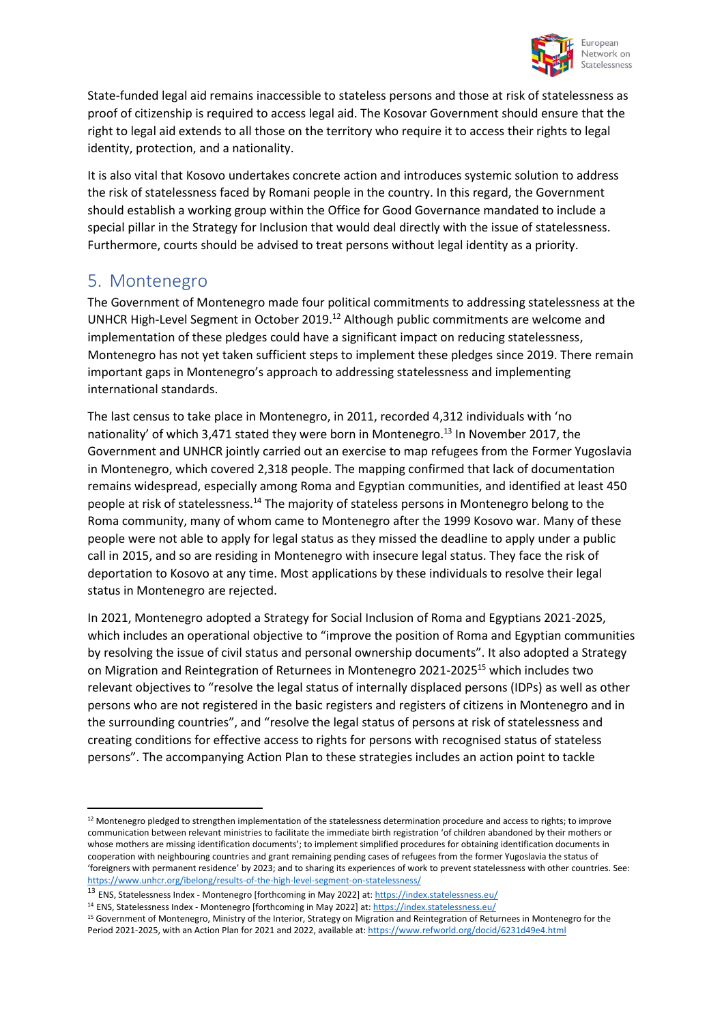

State-funded legal aid remains inaccessible to stateless persons and those at risk of statelessness as proof of citizenship is required to access legal aid. The Kosovar Government should ensure that the right to legal aid extends to all those on the territory who require it to access their rights to legal identity, protection, and a nationality.

It is also vital that Kosovo undertakes concrete action and introduces systemic solution to address the risk of statelessness faced by Romani people in the country. In this regard, the Government should establish a working group within the Office for Good Governance mandated to include a special pillar in the Strategy for Inclusion that would deal directly with the issue of statelessness. Furthermore, courts should be advised to treat persons without legal identity as a priority.

## 5. Montenegro

The Government of Montenegro made four political commitments to addressing statelessness at the UNHCR High-Level Segment in October 2019.<sup>12</sup> Although public commitments are welcome and implementation of these pledges could have a significant impact on reducing statelessness, Montenegro has not yet taken sufficient steps to implement these pledges since 2019. There remain important gaps in Montenegro's approach to addressing statelessness and implementing international standards.

The last census to take place in Montenegro, in 2011, recorded 4,312 individuals with 'no nationality' of which 3,471 stated they were born in Montenegro.<sup>13</sup> In November 2017, the Government and UNHCR jointly carried out an exercise to map refugees from the Former Yugoslavia in Montenegro, which covered 2,318 people. The mapping confirmed that lack of documentation remains widespread, especially among Roma and Egyptian communities, and identified at least 450 people at risk of statelessness.<sup>14</sup> The majority of stateless persons in Montenegro belong to the Roma community, many of whom came to Montenegro after the 1999 Kosovo war. Many of these people were not able to apply for legal status as they missed the deadline to apply under a public call in 2015, and so are residing in Montenegro with insecure legal status. They face the risk of deportation to Kosovo at any time. Most applications by these individuals to resolve their legal status in Montenegro are rejected.

In 2021, Montenegro adopted a Strategy for Social Inclusion of Roma and Egyptians 2021-2025, which includes an operational objective to "improve the position of Roma and Egyptian communities by resolving the issue of civil status and personal ownership documents". It also adopted a Strategy on Migration and Reintegration of Returnees in Montenegro 2021-2025<sup>15</sup> which includes two relevant objectives to "resolve the legal status of internally displaced persons (IDPs) as well as other persons who are not registered in the basic registers and registers of citizens in Montenegro and in the surrounding countries", and "resolve the legal status of persons at risk of statelessness and creating conditions for effective access to rights for persons with recognised status of stateless persons". The accompanying Action Plan to these strategies includes an action point to tackle

<sup>12</sup> Montenegro pledged to strengthen implementation of the statelessness determination procedure and access to rights; to improve communication between relevant ministries to facilitate the immediate birth registration 'of children abandoned by their mothers or whose mothers are missing identification documents'; to implement simplified procedures for obtaining identification documents in cooperation with neighbouring countries and grant remaining pending cases of refugees from the former Yugoslavia the status of 'foreigners with permanent residence' by 2023; and to sharing its experiences of work to prevent statelessness with other countries. See: <https://www.unhcr.org/ibelong/results-of-the-high-level-segment-on-statelessness/>

<sup>13</sup> ENS, Statelessness Index - Montenegro [forthcoming in May 2022] at[: https://index.statelessness.eu/](https://index.statelessness.eu/)

<sup>14</sup> ENS, Statelessness Index - Montenegro [forthcoming in May 2022] at[: https://index.statelessness.eu/](https://index.statelessness.eu/)

<sup>&</sup>lt;sup>15</sup> Government of Montenegro, Ministry of the Interior, Strategy on Migration and Reintegration of Returnees in Montenegro for the Period 2021-2025, with an Action Plan for 2021 and 2022, available at[: https://www.refworld.org/docid/6231d49e4.html](https://www.refworld.org/docid/6231d49e4.html)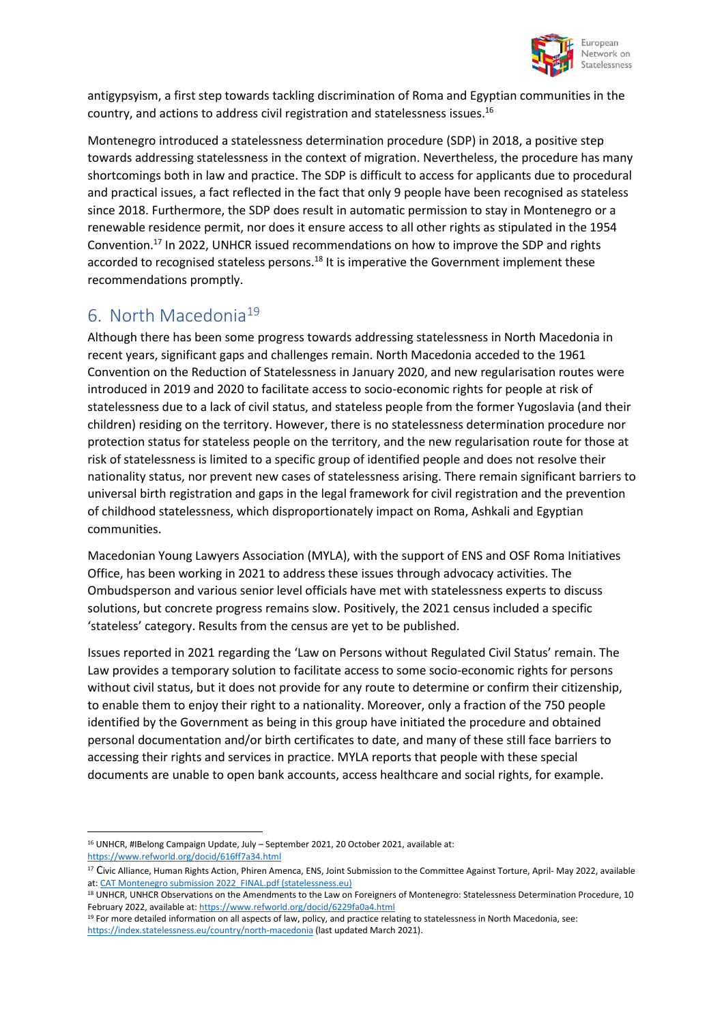

antigypsyism, a first step towards tackling discrimination of Roma and Egyptian communities in the country, and actions to address civil registration and statelessness issues.<sup>16</sup>

Montenegro introduced a statelessness determination procedure (SDP) in 2018, a positive step towards addressing statelessness in the context of migration. Nevertheless, the procedure has many shortcomings both in law and practice. The SDP is difficult to access for applicants due to procedural and practical issues, a fact reflected in the fact that only 9 people have been recognised as stateless since 2018. Furthermore, the SDP does result in automatic permission to stay in Montenegro or a renewable residence permit, nor does it ensure access to all other rights as stipulated in the 1954 Convention.<sup>17</sup> In 2022, UNHCR issued recommendations on how to improve the SDP and rights accorded to recognised stateless persons.<sup>18</sup> It is imperative the Government implement these recommendations promptly.

# 6. North Macedonia<sup>19</sup>

Although there has been some progress towards addressing statelessness in North Macedonia in recent years, significant gaps and challenges remain. North Macedonia acceded to the 1961 Convention on the Reduction of Statelessness in January 2020, and new regularisation routes were introduced in 2019 and 2020 to facilitate access to socio-economic rights for people at risk of statelessness due to a lack of civil status, and stateless people from the former Yugoslavia (and their children) residing on the territory. However, there is no statelessness determination procedure nor protection status for stateless people on the territory, and the new regularisation route for those at risk of statelessness is limited to a specific group of identified people and does not resolve their nationality status, nor prevent new cases of statelessness arising. There remain significant barriers to universal birth registration and gaps in the legal framework for civil registration and the prevention of childhood statelessness, which disproportionately impact on Roma, Ashkali and Egyptian communities.

Macedonian Young Lawyers Association (MYLA), with the support of ENS and OSF Roma Initiatives Office, has been working in 2021 to address these issues through advocacy activities. The Ombudsperson and various senior level officials have met with statelessness experts to discuss solutions, but concrete progress remains slow. Positively, the 2021 census included a specific 'stateless' category. Results from the census are yet to be published.

Issues reported in 2021 regarding the 'Law on Persons without Regulated Civil Status' remain. The Law provides a temporary solution to facilitate access to some socio-economic rights for persons without civil status, but it does not provide for any route to determine or confirm their citizenship, to enable them to enjoy their right to a nationality. Moreover, only a fraction of the 750 people identified by the Government as being in this group have initiated the procedure and obtained personal documentation and/or birth certificates to date, and many of these still face barriers to accessing their rights and services in practice. MYLA reports that people with these special documents are unable to open bank accounts, access healthcare and social rights, for example.

<sup>16</sup> UNHCR, #IBelong Campaign Update, July – September 2021, 20 October 2021, available at:

<https://www.refworld.org/docid/616ff7a34.html>

<sup>&</sup>lt;sup>17</sup> Civic Alliance, Human Rights Action, Phiren Amenca, ENS, Joint Submission to the Committee Against Torture, April- May 2022, available at: CAT Montenegro submission 2022 FINAL.pdf (statelessness.eu)

<sup>&</sup>lt;sup>18</sup> UNHCR, UNHCR Observations on the Amendments to the Law on Foreigners of Montenegro: Statelessness Determination Procedure, 10 February 2022, available at[: https://www.refworld.org/docid/6229fa0a4.html](https://www.refworld.org/docid/6229fa0a4.html)

<sup>&</sup>lt;sup>19</sup> For more detailed information on all aspects of law, policy, and practice relating to statelessness in North Macedonia, see: <https://index.statelessness.eu/country/north-macedonia> (last updated March 2021).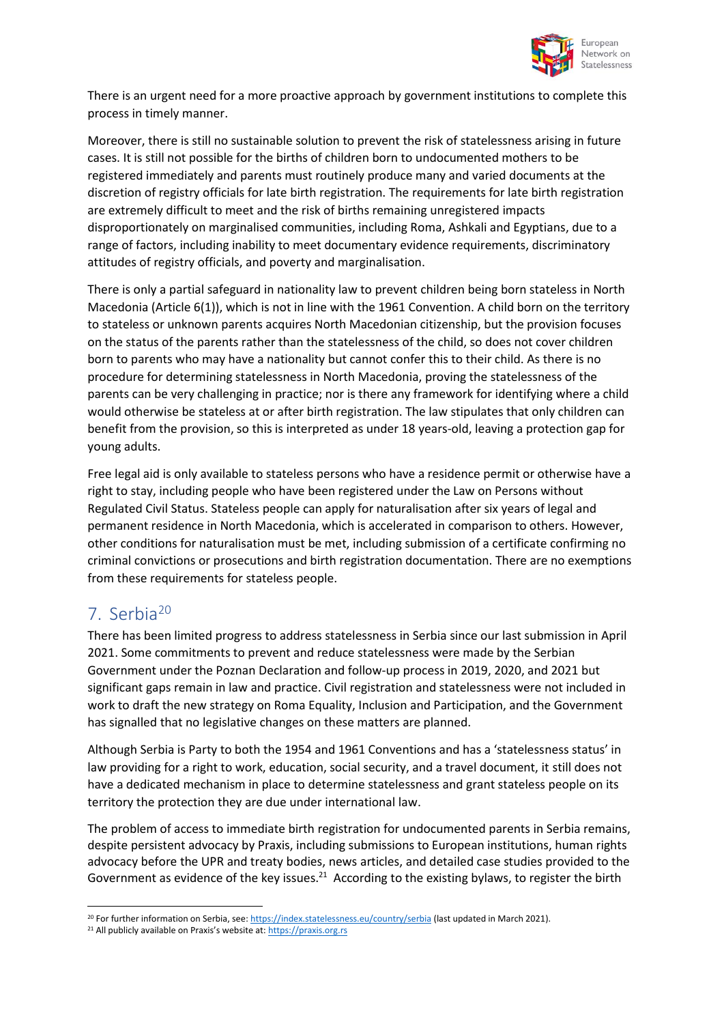

There is an urgent need for a more proactive approach by government institutions to complete this process in timely manner.

Moreover, there is still no sustainable solution to prevent the risk of statelessness arising in future cases. It is still not possible for the births of children born to undocumented mothers to be registered immediately and parents must routinely produce many and varied documents at the discretion of registry officials for late birth registration. The requirements for late birth registration are extremely difficult to meet and the risk of births remaining unregistered impacts disproportionately on marginalised communities, including Roma, Ashkali and Egyptians, due to a range of factors, including inability to meet documentary evidence requirements, discriminatory attitudes of registry officials, and poverty and marginalisation.

There is only a partial safeguard in nationality law to prevent children being born stateless in North Macedonia (Article 6(1)), which is not in line with the 1961 Convention. A child born on the territory to stateless or unknown parents acquires North Macedonian citizenship, but the provision focuses on the status of the parents rather than the statelessness of the child, so does not cover children born to parents who may have a nationality but cannot confer this to their child. As there is no procedure for determining statelessness in North Macedonia, proving the statelessness of the parents can be very challenging in practice; nor is there any framework for identifying where a child would otherwise be stateless at or after birth registration. The law stipulates that only children can benefit from the provision, so this is interpreted as under 18 years-old, leaving a protection gap for young adults.

Free legal aid is only available to stateless persons who have a residence permit or otherwise have a right to stay, including people who have been registered under the Law on Persons without Regulated Civil Status. Stateless people can apply for naturalisation after six years of legal and permanent residence in North Macedonia, which is accelerated in comparison to others. However, other conditions for naturalisation must be met, including submission of a certificate confirming no criminal convictions or prosecutions and birth registration documentation. There are no exemptions from these requirements for stateless people.

## 7. Serbia<sup>20</sup>

There has been limited progress to address statelessness in Serbia since our last submission in April 2021. Some commitments to prevent and reduce statelessness were made by the Serbian Government under the Poznan Declaration and follow-up process in 2019, 2020, and 2021 but significant gaps remain in law and practice. Civil registration and statelessness were not included in work to draft the new strategy on Roma Equality, Inclusion and Participation, and the Government has signalled that no legislative changes on these matters are planned.

Although Serbia is Party to both the 1954 and 1961 Conventions and has a 'statelessness status' in law providing for a right to work, education, social security, and a travel document, it still does not have a dedicated mechanism in place to determine statelessness and grant stateless people on its territory the protection they are due under international law.

The problem of access to immediate birth registration for undocumented parents in Serbia remains, despite persistent advocacy by Praxis, including submissions to European institutions, human rights advocacy before the UPR and treaty bodies, news articles, and detailed case studies provided to the Government as evidence of the key issues.<sup>21</sup> According to the existing bylaws, to register the birth

<sup>&</sup>lt;sup>20</sup> For further information on Serbia, see: <https://index.statelessness.eu/country/serbia> (last updated in March 2021).

<sup>&</sup>lt;sup>21</sup> All publicly available on Praxis's website at: [https://praxis.org.rs](https://praxis.org.rs/)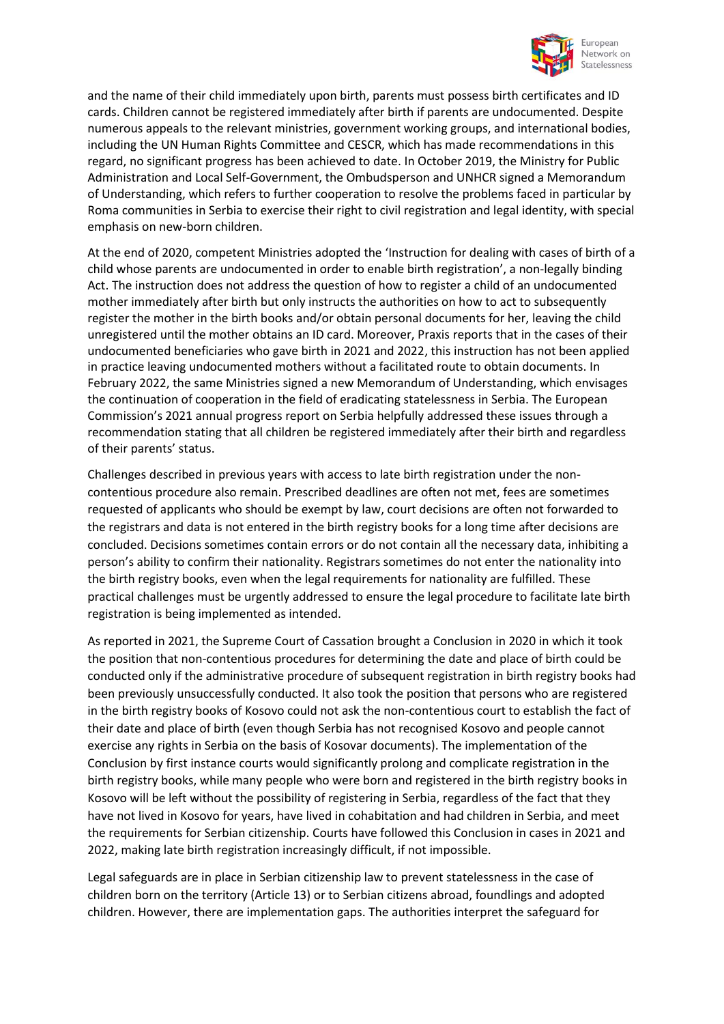

and the name of their child immediately upon birth, parents must possess birth certificates and ID cards. Children cannot be registered immediately after birth if parents are undocumented. Despite numerous appeals to the relevant ministries, government working groups, and international bodies, including the UN Human Rights Committee and CESCR, which has made recommendations in this regard, no significant progress has been achieved to date. In October 2019, the Ministry for Public Administration and Local Self-Government, the Ombudsperson and UNHCR signed a Memorandum of Understanding, which refers to further cooperation to resolve the problems faced in particular by Roma communities in Serbia to exercise their right to civil registration and legal identity, with special emphasis on new-born children.

At the end of 2020, competent Ministries adopted the 'Instruction for dealing with cases of birth of a child whose parents are undocumented in order to enable birth registration', a non-legally binding Act. The instruction does not address the question of how to register a child of an undocumented mother immediately after birth but only instructs the authorities on how to act to subsequently register the mother in the birth books and/or obtain personal documents for her, leaving the child unregistered until the mother obtains an ID card. Moreover, Praxis reports that in the cases of their undocumented beneficiaries who gave birth in 2021 and 2022, this instruction has not been applied in practice leaving undocumented mothers without a facilitated route to obtain documents. In February 2022, the same Ministries signed a new Memorandum of Understanding, which envisages the continuation of cooperation in the field of eradicating statelessness in Serbia. The European Commission's 2021 annual progress report on Serbia helpfully addressed these issues through a recommendation stating that all children be registered immediately after their birth and regardless of their parents' status.

Challenges described in previous years with access to late birth registration under the noncontentious procedure also remain. Prescribed deadlines are often not met, fees are sometimes requested of applicants who should be exempt by law, court decisions are often not forwarded to the registrars and data is not entered in the birth registry books for a long time after decisions are concluded. Decisions sometimes contain errors or do not contain all the necessary data, inhibiting a person's ability to confirm their nationality. Registrars sometimes do not enter the nationality into the birth registry books, even when the legal requirements for nationality are fulfilled. These practical challenges must be urgently addressed to ensure the legal procedure to facilitate late birth registration is being implemented as intended.

As reported in 2021, the Supreme Court of Cassation brought a Conclusion in 2020 in which it took the position that non-contentious procedures for determining the date and place of birth could be conducted only if the administrative procedure of subsequent registration in birth registry books had been previously unsuccessfully conducted. It also took the position that persons who are registered in the birth registry books of Kosovo could not ask the non-contentious court to establish the fact of their date and place of birth (even though Serbia has not recognised Kosovo and people cannot exercise any rights in Serbia on the basis of Kosovar documents). The implementation of the Conclusion by first instance courts would significantly prolong and complicate registration in the birth registry books, while many people who were born and registered in the birth registry books in Kosovo will be left without the possibility of registering in Serbia, regardless of the fact that they have not lived in Kosovo for years, have lived in cohabitation and had children in Serbia, and meet the requirements for Serbian citizenship. Courts have followed this Conclusion in cases in 2021 and 2022, making late birth registration increasingly difficult, if not impossible.

Legal safeguards are in place in Serbian citizenship law to prevent statelessness in the case of children born on the territory (Article 13) or to Serbian citizens abroad, foundlings and adopted children. However, there are implementation gaps. The authorities interpret the safeguard for